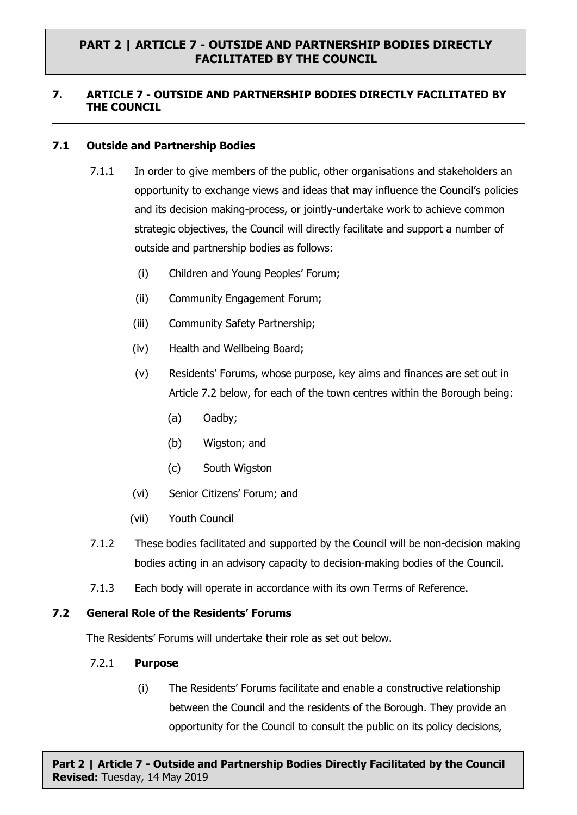## **7. ARTICLE 7 - OUTSIDE AND PARTNERSHIP BODIES DIRECTLY FACILITATED BY THE COUNCIL**

## **7.1 Outside and Partnership Bodies**

- 7.1.1 In order to give members of the public, other organisations and stakeholders an opportunity to exchange views and ideas that may influence the Council's policies and its decision making-process, or jointly-undertake work to achieve common strategic objectives, the Council will directly facilitate and support a number of outside and partnership bodies as follows:
	- (i) Children and Young Peoples' Forum;
	- (ii) Community Engagement Forum;
	- (iii) Community Safety Partnership;
	- (iv) Health and Wellbeing Board;
	- (v) Residents' Forums, whose purpose, key aims and finances are set out in Article 7.2 below, for each of the town centres within the Borough being:
		- (a) Oadby;
		- (b) Wigston; and
		- (c) South Wigston
	- (vi) Senior Citizens' Forum; and
	- (vii) Youth Council
- 7.1.2 These bodies facilitated and supported by the Council will be non-decision making bodies acting in an advisory capacity to decision-making bodies of the Council.
- 7.1.3 Each body will operate in accordance with its own Terms of Reference.

#### **7.2 General Role of the Residents' Forums**

The Residents' Forums will undertake their role as set out below.

#### 7.2.1 **Purpose**

(i) The Residents' Forums facilitate and enable a constructive relationship between the Council and the residents of the Borough. They provide an opportunity for the Council to consult the public on its policy decisions,